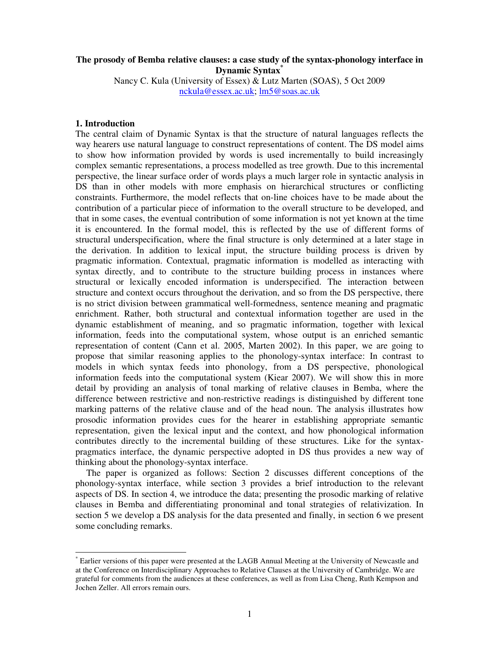# **The prosody of Bemba relative clauses: a case study of the syntax-phonology interface in Dynamic Syntax\***

Nancy C. Kula (University of Essex) & Lutz Marten (SOAS), 5 Oct 2009 nckula@essex.ac.uk; lm5@soas.ac.uk

# **1. Introduction**

-

The central claim of Dynamic Syntax is that the structure of natural languages reflects the way hearers use natural language to construct representations of content. The DS model aims to show how information provided by words is used incrementally to build increasingly complex semantic representations, a process modelled as tree growth. Due to this incremental perspective, the linear surface order of words plays a much larger role in syntactic analysis in DS than in other models with more emphasis on hierarchical structures or conflicting constraints. Furthermore, the model reflects that on-line choices have to be made about the contribution of a particular piece of information to the overall structure to be developed, and that in some cases, the eventual contribution of some information is not yet known at the time it is encountered. In the formal model, this is reflected by the use of different forms of structural underspecification, where the final structure is only determined at a later stage in the derivation. In addition to lexical input, the structure building process is driven by pragmatic information. Contextual, pragmatic information is modelled as interacting with syntax directly, and to contribute to the structure building process in instances where structural or lexically encoded information is underspecified. The interaction between structure and context occurs throughout the derivation, and so from the DS perspective, there is no strict division between grammatical well-formedness, sentence meaning and pragmatic enrichment. Rather, both structural and contextual information together are used in the dynamic establishment of meaning, and so pragmatic information, together with lexical information, feeds into the computational system, whose output is an enriched semantic representation of content (Cann et al. 2005, Marten 2002). In this paper, we are going to propose that similar reasoning applies to the phonology-syntax interface: In contrast to models in which syntax feeds into phonology, from a DS perspective, phonological information feeds into the computational system (Kiear 2007). We will show this in more detail by providing an analysis of tonal marking of relative clauses in Bemba, where the difference between restrictive and non-restrictive readings is distinguished by different tone marking patterns of the relative clause and of the head noun. The analysis illustrates how prosodic information provides cues for the hearer in establishing appropriate semantic representation, given the lexical input and the context, and how phonological information contributes directly to the incremental building of these structures. Like for the syntaxpragmatics interface, the dynamic perspective adopted in DS thus provides a new way of thinking about the phonology-syntax interface.

 The paper is organized as follows: Section 2 discusses different conceptions of the phonology-syntax interface, while section 3 provides a brief introduction to the relevant aspects of DS. In section 4, we introduce the data; presenting the prosodic marking of relative clauses in Bemba and differentiating pronominal and tonal strategies of relativization. In section 5 we develop a DS analysis for the data presented and finally, in section 6 we present some concluding remarks.

<sup>\*</sup> Earlier versions of this paper were presented at the LAGB Annual Meeting at the University of Newcastle and at the Conference on Interdisciplinary Approaches to Relative Clauses at the University of Cambridge. We are grateful for comments from the audiences at these conferences, as well as from Lisa Cheng, Ruth Kempson and Jochen Zeller. All errors remain ours.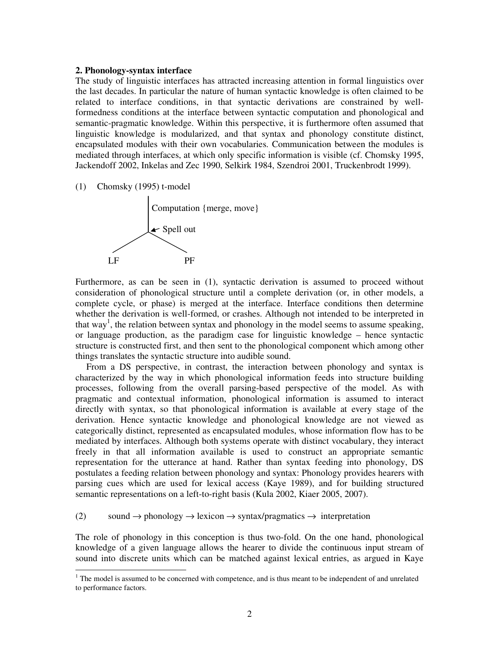#### **2. Phonology-syntax interface**

The study of linguistic interfaces has attracted increasing attention in formal linguistics over the last decades. In particular the nature of human syntactic knowledge is often claimed to be related to interface conditions, in that syntactic derivations are constrained by wellformedness conditions at the interface between syntactic computation and phonological and semantic-pragmatic knowledge. Within this perspective, it is furthermore often assumed that linguistic knowledge is modularized, and that syntax and phonology constitute distinct, encapsulated modules with their own vocabularies. Communication between the modules is mediated through interfaces, at which only specific information is visible (cf. Chomsky 1995, Jackendoff 2002, Inkelas and Zec 1990, Selkirk 1984, Szendroi 2001, Truckenbrodt 1999).

(1) Chomsky (1995) t-model

-



Furthermore, as can be seen in (1), syntactic derivation is assumed to proceed without consideration of phonological structure until a complete derivation (or, in other models, a complete cycle, or phase) is merged at the interface. Interface conditions then determine whether the derivation is well-formed, or crashes. Although not intended to be interpreted in that way<sup>1</sup>, the relation between syntax and phonology in the model seems to assume speaking, or language production, as the paradigm case for linguistic knowledge – hence syntactic structure is constructed first, and then sent to the phonological component which among other things translates the syntactic structure into audible sound.

 From a DS perspective, in contrast, the interaction between phonology and syntax is characterized by the way in which phonological information feeds into structure building processes, following from the overall parsing-based perspective of the model. As with pragmatic and contextual information, phonological information is assumed to interact directly with syntax, so that phonological information is available at every stage of the derivation. Hence syntactic knowledge and phonological knowledge are not viewed as categorically distinct, represented as encapsulated modules, whose information flow has to be mediated by interfaces. Although both systems operate with distinct vocabulary, they interact freely in that all information available is used to construct an appropriate semantic representation for the utterance at hand. Rather than syntax feeding into phonology, DS postulates a feeding relation between phonology and syntax: Phonology provides hearers with parsing cues which are used for lexical access (Kaye 1989), and for building structured semantic representations on a left-to-right basis (Kula 2002, Kiaer 2005, 2007).

# (2) sound  $\rightarrow$  phonology  $\rightarrow$  lexicon  $\rightarrow$  syntax/pragmatics  $\rightarrow$  interpretation

The role of phonology in this conception is thus two-fold. On the one hand, phonological knowledge of a given language allows the hearer to divide the continuous input stream of sound into discrete units which can be matched against lexical entries, as argued in Kaye

 $1$ <sup>1</sup> The model is assumed to be concerned with competence, and is thus meant to be independent of and unrelated to performance factors.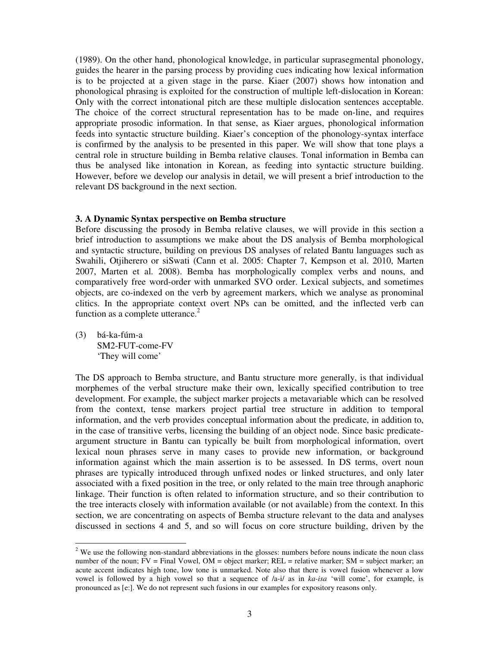(1989). On the other hand, phonological knowledge, in particular suprasegmental phonology, guides the hearer in the parsing process by providing cues indicating how lexical information is to be projected at a given stage in the parse. Kiaer (2007) shows how intonation and phonological phrasing is exploited for the construction of multiple left-dislocation in Korean: Only with the correct intonational pitch are these multiple dislocation sentences acceptable. The choice of the correct structural representation has to be made on-line, and requires appropriate prosodic information. In that sense, as Kiaer argues, phonological information feeds into syntactic structure building. Kiaer's conception of the phonology-syntax interface is confirmed by the analysis to be presented in this paper. We will show that tone plays a central role in structure building in Bemba relative clauses. Tonal information in Bemba can thus be analysed like intonation in Korean, as feeding into syntactic structure building. However, before we develop our analysis in detail, we will present a brief introduction to the relevant DS background in the next section.

#### **3. A Dynamic Syntax perspective on Bemba structure**

Before discussing the prosody in Bemba relative clauses, we will provide in this section a brief introduction to assumptions we make about the DS analysis of Bemba morphological and syntactic structure, building on previous DS analyses of related Bantu languages such as Swahili, Otjiherero or siSwati (Cann et al. 2005: Chapter 7, Kempson et al. 2010, Marten 2007, Marten et al. 2008). Bemba has morphologically complex verbs and nouns, and comparatively free word-order with unmarked SVO order. Lexical subjects, and sometimes objects, are co-indexed on the verb by agreement markers, which we analyse as pronominal clitics. In the appropriate context overt NPs can be omitted, and the inflected verb can function as a complete utterance. $2$ 

(3) bá-ka-fúm-a SM2-FUT-come-FV 'They will come'

-

The DS approach to Bemba structure, and Bantu structure more generally, is that individual morphemes of the verbal structure make their own, lexically specified contribution to tree development. For example, the subject marker projects a metavariable which can be resolved from the context, tense markers project partial tree structure in addition to temporal information, and the verb provides conceptual information about the predicate, in addition to, in the case of transitive verbs, licensing the building of an object node. Since basic predicateargument structure in Bantu can typically be built from morphological information, overt lexical noun phrases serve in many cases to provide new information, or background information against which the main assertion is to be assessed. In DS terms, overt noun phrases are typically introduced through unfixed nodes or linked structures, and only later associated with a fixed position in the tree, or only related to the main tree through anaphoric linkage. Their function is often related to information structure, and so their contribution to the tree interacts closely with information available (or not available) from the context. In this section, we are concentrating on aspects of Bemba structure relevant to the data and analyses discussed in sections 4 and 5, and so will focus on core structure building, driven by the

 $2$  We use the following non-standard abbreviations in the glosses: numbers before nouns indicate the noun class number of the noun; FV = Final Vowel, OM = object marker; REL = relative marker; SM = subject marker; an acute accent indicates high tone, low tone is unmarked. Note also that there is vowel fusion whenever a low vowel is followed by a high vowel so that a sequence of /a-i/ as in *ka-isa* 'will come', for example, is pronounced as [e:]. We do not represent such fusions in our examples for expository reasons only.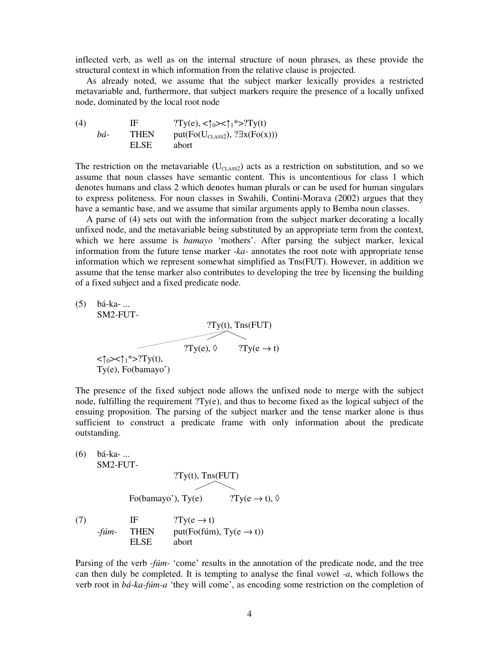inflected verb, as well as on the internal structure of noun phrases, as these provide the structural context in which information from the relative clause is projected.

As already noted, we assume that the subject marker lexically provides a restricted metavariable and, furthermore, that subject markers require the presence of a locally unfixed node, dominated by the local root node

(4) IF  $?Ty(e), <\uparrow_0> <\uparrow_1^*>?Ty(t)$ *bá*- THEN put(Fo(U<sub>CLASS2</sub>), ?∃x(Fo(x))) ELSE abort

The restriction on the metavariable ( $U_{\text{CLASS2}}$ ) acts as a restriction on substitution, and so we assume that noun classes have semantic content. This is uncontentious for class 1 which denotes humans and class 2 which denotes human plurals or can be used for human singulars to express politeness. For noun classes in Swahili, Contini-Morava (2002) argues that they have a semantic base, and we assume that similar arguments apply to Bemba noun classes.

A parse of (4) sets out with the information from the subject marker decorating a locally unfixed node, and the metavariable being substituted by an appropriate term from the context, which we here assume is *bamayo* 'mothers'. After parsing the subject marker, lexical information from the future tense marker *-ka-* annotates the root note with appropriate tense information which we represent somewhat simplified as Tns(FUT). However, in addition we assume that the tense marker also contributes to developing the tree by licensing the building of a fixed subject and a fixed predicate node.

(5) bá-ka- ... SM2-FUT- ?Ty(t), Tns(FUT)  $?Ty(e), \Diamond$  $\overline{\phantom{a}}$  $?Ty(e \rightarrow t)$  $<\uparrow_0>>\uparrow_1$ \*>?Ty(t), Ty(e), Fo(bamayo')

The presence of the fixed subject node allows the unfixed node to merge with the subject node, fulfilling the requirement ?Ty(e), and thus to become fixed as the logical subject of the ensuing proposition. The parsing of the subject marker and the tense marker alone is thus sufficient to construct a predicate frame with only information about the predicate outstanding.

\n- (6) bá-ka- ...
\n- SM2-FUT-
\n- $$
?Ty(t)
$$
,  $Tns(FUT)$
\n- Fo(bamayo'),  $Ty(e)$   $?Ty(e → t)$ ,  $\Diamond$
\n- (7) IF  $?Ty(e → t)$
\n- $-fúm$ - THEN  $put(Fo(fúm), Ty(e → t))$  ELSE abort
\n

Parsing of the verb *-fúm-* 'come' results in the annotation of the predicate node, and the tree can then duly be completed. It is tempting to analyse the final vowel *-a*, which follows the verb root in *bá-ka-fúm-a* 'they will come', as encoding some restriction on the completion of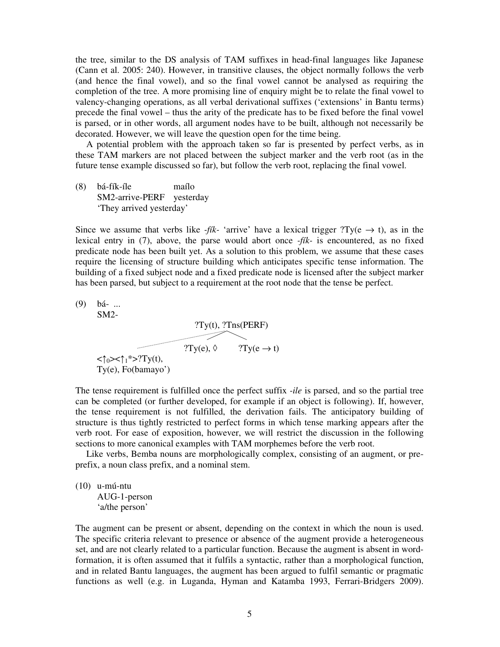the tree, similar to the DS analysis of TAM suffixes in head-final languages like Japanese (Cann et al. 2005: 240). However, in transitive clauses, the object normally follows the verb (and hence the final vowel), and so the final vowel cannot be analysed as requiring the completion of the tree. A more promising line of enquiry might be to relate the final vowel to valency-changing operations, as all verbal derivational suffixes ('extensions' in Bantu terms) precede the final vowel – thus the arity of the predicate has to be fixed before the final vowel is parsed, or in other words, all argument nodes have to be built, although not necessarily be decorated. However, we will leave the question open for the time being.

 A potential problem with the approach taken so far is presented by perfect verbs, as in these TAM markers are not placed between the subject marker and the verb root (as in the future tense example discussed so far), but follow the verb root, replacing the final vowel.

(8) bá-fík-íle maílo SM2-arrive-PERF yesterday 'They arrived yesterday'

Since we assume that verbs like *-fik-* 'arrive' have a lexical trigger ?Ty( $e \rightarrow t$ ), as in the lexical entry in (7), above, the parse would abort once *-fík-* is encountered, as no fixed predicate node has been built yet. As a solution to this problem, we assume that these cases require the licensing of structure building which anticipates specific tense information. The building of a fixed subject node and a fixed predicate node is licensed after the subject marker has been parsed, but subject to a requirement at the root node that the tense be perfect.

(9) bá- ... SM2- ?Ty(t), ?Tns(PERF)  $?Ty(e), \Diamond$  $\overline{\phantom{a}}$  $?Ty(e \rightarrow t)$  $<\uparrow_0>>\uparrow_1*>>?Ty(t)$ , Ty(e), Fo(bamayo')

The tense requirement is fulfilled once the perfect suffix *-ile* is parsed, and so the partial tree can be completed (or further developed, for example if an object is following). If, however, the tense requirement is not fulfilled, the derivation fails. The anticipatory building of structure is thus tightly restricted to perfect forms in which tense marking appears after the verb root. For ease of exposition, however, we will restrict the discussion in the following sections to more canonical examples with TAM morphemes before the verb root.

 Like verbs, Bemba nouns are morphologically complex, consisting of an augment, or preprefix, a noun class prefix, and a nominal stem.

(10) u-mú-ntu AUG-1-person 'a/the person'

The augment can be present or absent, depending on the context in which the noun is used. The specific criteria relevant to presence or absence of the augment provide a heterogeneous set, and are not clearly related to a particular function. Because the augment is absent in wordformation, it is often assumed that it fulfils a syntactic, rather than a morphological function, and in related Bantu languages, the augment has been argued to fulfil semantic or pragmatic functions as well (e.g. in Luganda, Hyman and Katamba 1993, Ferrari-Bridgers 2009).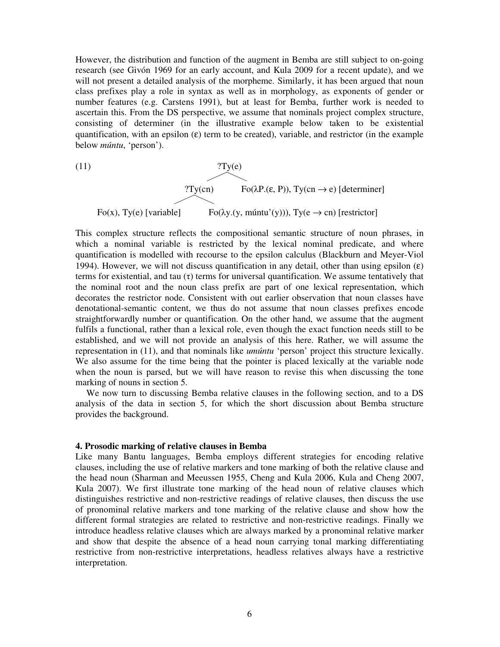However, the distribution and function of the augment in Bemba are still subject to on-going research (see Givón 1969 for an early account, and Kula 2009 for a recent update), and we will not present a detailed analysis of the morpheme. Similarly, it has been argued that noun class prefixes play a role in syntax as well as in morphology, as exponents of gender or number features (e.g. Carstens 1991), but at least for Bemba, further work is needed to ascertain this. From the DS perspective, we assume that nominals project complex structure, consisting of determiner (in the illustrative example below taken to be existential quantification, with an epsilon  $(\epsilon)$  term to be created), variable, and restrictor (in the example below *múntu*, 'person').

(11)  
\n
$$
?Ty(e)
$$
\n
$$
Fo(\lambda P.(\varepsilon, P)), Ty(cn \to e) [determiner]
$$
\n
$$
Fo(x), Ty(e) [variable] \qquad Fo(\lambda y.(y, múntu'(y))), Ty(e \to cn) [restrictor]
$$

This complex structure reflects the compositional semantic structure of noun phrases, in which a nominal variable is restricted by the lexical nominal predicate, and where quantification is modelled with recourse to the epsilon calculus (Blackburn and Meyer-Viol 1994). However, we will not discuss quantification in any detail, other than using epsilon  $(\epsilon)$ terms for existential, and tau (τ) terms for universal quantification. We assume tentatively that the nominal root and the noun class prefix are part of one lexical representation, which decorates the restrictor node. Consistent with out earlier observation that noun classes have denotational-semantic content, we thus do not assume that noun classes prefixes encode straightforwardly number or quantification. On the other hand, we assume that the augment fulfils a functional, rather than a lexical role, even though the exact function needs still to be established, and we will not provide an analysis of this here. Rather, we will assume the representation in (11), and that nominals like *umúntu* 'person' project this structure lexically. We also assume for the time being that the pointer is placed lexically at the variable node when the noun is parsed, but we will have reason to revise this when discussing the tone marking of nouns in section 5.

We now turn to discussing Bemba relative clauses in the following section, and to a DS analysis of the data in section 5, for which the short discussion about Bemba structure provides the background.

### **4. Prosodic marking of relative clauses in Bemba**

Like many Bantu languages, Bemba employs different strategies for encoding relative clauses, including the use of relative markers and tone marking of both the relative clause and the head noun (Sharman and Meeussen 1955, Cheng and Kula 2006, Kula and Cheng 2007, Kula 2007). We first illustrate tone marking of the head noun of relative clauses which distinguishes restrictive and non-restrictive readings of relative clauses, then discuss the use of pronominal relative markers and tone marking of the relative clause and show how the different formal strategies are related to restrictive and non-restrictive readings. Finally we introduce headless relative clauses which are always marked by a pronominal relative marker and show that despite the absence of a head noun carrying tonal marking differentiating restrictive from non-restrictive interpretations, headless relatives always have a restrictive interpretation.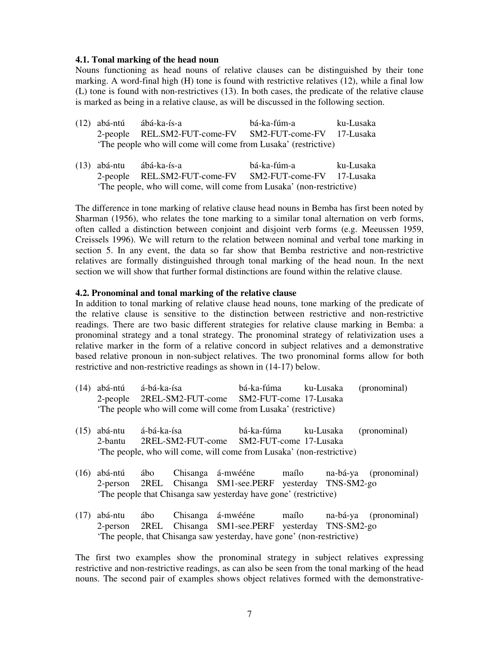# **4.1. Tonal marking of the head noun**

Nouns functioning as head nouns of relative clauses can be distinguished by their tone marking. A word-final high (H) tone is found with restrictive relatives (12), while a final low (L) tone is found with non-restrictives (13). In both cases, the predicate of the relative clause is marked as being in a relative clause, as will be discussed in the following section.

- (12) abá-ntú ábá-ka-ís-a bá-ka-fúm-a ku-Lusaka 2-people REL.SM2-FUT-come-FV SM2-FUT-come-FV 17-Lusaka 'The people who will come will come from Lusaka' (restrictive)
- (13) abá-ntu ábá-ka-ís-a bá-ka-fúm-a ku-Lusaka 2-people REL.SM2-FUT-come-FV SM2-FUT-come-FV 17-Lusaka 'The people, who will come, will come from Lusaka' (non-restrictive)

The difference in tone marking of relative clause head nouns in Bemba has first been noted by Sharman (1956), who relates the tone marking to a similar tonal alternation on verb forms, often called a distinction between conjoint and disjoint verb forms (e.g. Meeussen 1959, Creissels 1996). We will return to the relation between nominal and verbal tone marking in section 5. In any event, the data so far show that Bemba restrictive and non-restrictive relatives are formally distinguished through tonal marking of the head noun. In the next section we will show that further formal distinctions are found within the relative clause.

# **4.2. Pronominal and tonal marking of the relative clause**

In addition to tonal marking of relative clause head nouns, tone marking of the predicate of the relative clause is sensitive to the distinction between restrictive and non-restrictive readings. There are two basic different strategies for relative clause marking in Bemba: a pronominal strategy and a tonal strategy. The pronominal strategy of relativization uses a relative marker in the form of a relative concord in subject relatives and a demonstrative based relative pronoun in non-subject relatives. The two pronominal forms allow for both restrictive and non-restrictive readings as shown in (14-17) below.

- (14) abá-ntú á-bá-ka-ísa bá-ka-fúma ku-Lusaka (pronominal) 2-people 2REL-SM2-FUT-come SM2-FUT-come 17-Lusaka 'The people who will come will come from Lusaka' (restrictive)
- (15) abá-ntu á-bá-ka-ísa bá-ka-fúma ku-Lusaka (pronominal) 2-bantu 2REL-SM2-FUT-come SM2-FUT-come 17-Lusaka 'The people, who will come, will come from Lusaka' (non-restrictive)
- (16) abá-ntú ábo Chisanga á-mwééne maílo na-bá-ya (pronominal) 2-person 2REL Chisanga SM1-see.PERF yesterday TNS-SM2-go 'The people that Chisanga saw yesterday have gone' (restrictive)
- (17) abá-ntu ábo Chisanga á-mwééne maílo na-bá-ya (pronominal) 2-person 2REL Chisanga SM1-see.PERF yesterday TNS-SM2-go 'The people, that Chisanga saw yesterday, have gone' (non-restrictive)

The first two examples show the pronominal strategy in subject relatives expressing restrictive and non-restrictive readings, as can also be seen from the tonal marking of the head nouns. The second pair of examples shows object relatives formed with the demonstrative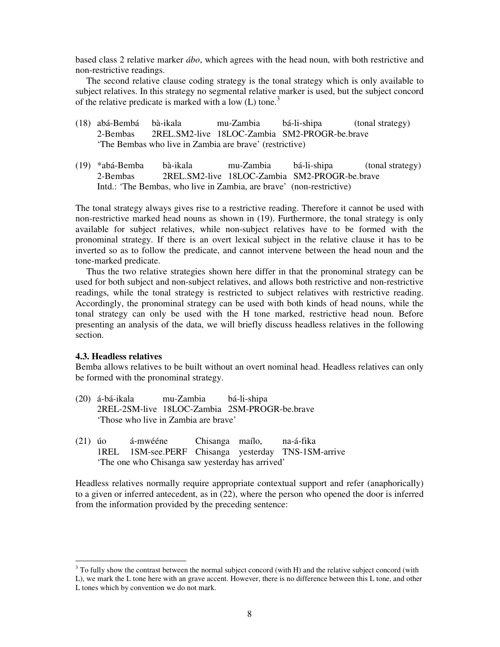based class 2 relative marker *ábo*, which agrees with the head noun, with both restrictive and non-restrictive readings.

 The second relative clause coding strategy is the tonal strategy which is only available to subject relatives. In this strategy no segmental relative marker is used, but the subject concord of the relative predicate is marked with a low  $(L)$  tone.<sup>3</sup>

- (18) abá-Bembá bà-ikala mu-Zambia bá-li-shipa (tonal strategy) 2-Bembas 2REL.SM2-live 18LOC-Zambia SM2-PROGR-be.brave 'The Bembas who live in Zambia are brave' (restrictive)
- (19) \*abá-Bemba bà-ikala mu-Zambia bá-li-shipa (tonal strategy) 2-Bembas 2REL.SM2-live 18LOC-Zambia SM2-PROGR-be.brave Intd.: 'The Bembas, who live in Zambia, are brave' (non-restrictive)

The tonal strategy always gives rise to a restrictive reading. Therefore it cannot be used with non-restrictive marked head nouns as shown in (19). Furthermore, the tonal strategy is only available for subject relatives, while non-subject relatives have to be formed with the pronominal strategy. If there is an overt lexical subject in the relative clause it has to be inverted so as to follow the predicate, and cannot intervene between the head noun and the tone-marked predicate.

 Thus the two relative strategies shown here differ in that the pronominal strategy can be used for both subject and non-subject relatives, and allows both restrictive and non-restrictive readings, while the tonal strategy is restricted to subject relatives with restrictive reading. Accordingly, the pronominal strategy can be used with both kinds of head nouns, while the tonal strategy can only be used with the H tone marked, restrictive head noun. Before presenting an analysis of the data, we will briefly discuss headless relatives in the following section.

# **4.3. Headless relatives**

-

Bemba allows relatives to be built without an overt nominal head. Headless relatives can only be formed with the pronominal strategy.

- (20) á-bá-ikala mu-Zambia bá-li-shipa 2REL-2SM-live 18LOC-Zambia 2SM-PROGR-be.brave 'Those who live in Zambia are brave'
- (21) úo á-mwééne Chisanga maílo, na-á-fika 1REL 1SM-see.PERF Chisanga yesterday TNS-1SM-arrive 'The one who Chisanga saw yesterday has arrived'

Headless relatives normally require appropriate contextual support and refer (anaphorically) to a given or inferred antecedent, as in (22), where the person who opened the door is inferred from the information provided by the preceding sentence:

 $3$  To fully show the contrast between the normal subject concord (with H) and the relative subject concord (with L), we mark the L tone here with an grave accent. However, there is no difference between this L tone, and other L tones which by convention we do not mark.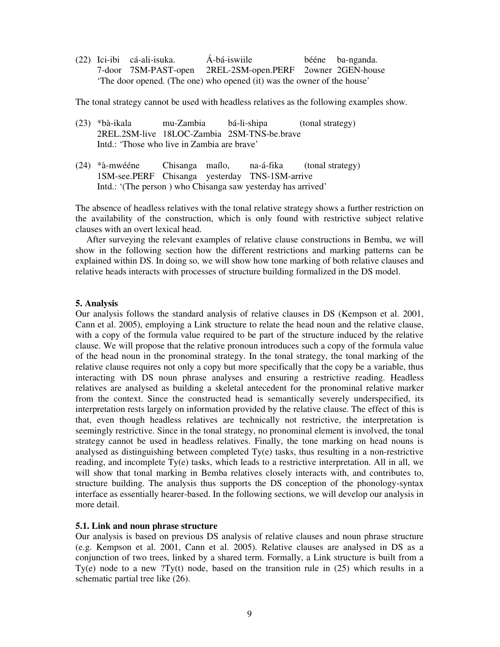(22) Ici-ibi cá-ali-isuka. Á-bá-iswiile bééne ba-nganda. 7-door 7SM-PAST-open 2REL-2SM-open.PERF 2owner 2GEN-house 'The door opened. (The one) who opened (it) was the owner of the house'

The tonal strategy cannot be used with headless relatives as the following examples show.

- (23) \*bà-ikala mu-Zambia bá-li-shipa (tonal strategy) 2REL.2SM-live 18LOC-Zambia 2SM-TNS-be.brave Intd.: 'Those who live in Zambia are brave'
- (24) \*à-mwééne Chisanga maílo, na-á-fika (tonal strategy) 1SM-see.PERF Chisanga yesterday TNS-1SM-arrive Intd.: '(The person ) who Chisanga saw yesterday has arrived'

The absence of headless relatives with the tonal relative strategy shows a further restriction on the availability of the construction, which is only found with restrictive subject relative clauses with an overt lexical head.

 After surveying the relevant examples of relative clause constructions in Bemba, we will show in the following section how the different restrictions and marking patterns can be explained within DS. In doing so, we will show how tone marking of both relative clauses and relative heads interacts with processes of structure building formalized in the DS model.

#### **5. Analysis**

Our analysis follows the standard analysis of relative clauses in DS (Kempson et al. 2001, Cann et al. 2005), employing a Link structure to relate the head noun and the relative clause, with a copy of the formula value required to be part of the structure induced by the relative clause. We will propose that the relative pronoun introduces such a copy of the formula value of the head noun in the pronominal strategy. In the tonal strategy, the tonal marking of the relative clause requires not only a copy but more specifically that the copy be a variable, thus interacting with DS noun phrase analyses and ensuring a restrictive reading. Headless relatives are analysed as building a skeletal antecedent for the pronominal relative marker from the context. Since the constructed head is semantically severely underspecified, its interpretation rests largely on information provided by the relative clause. The effect of this is that, even though headless relatives are technically not restrictive, the interpretation is seemingly restrictive. Since in the tonal strategy, no pronominal element is involved, the tonal strategy cannot be used in headless relatives. Finally, the tone marking on head nouns is analysed as distinguishing between completed Ty(e) tasks, thus resulting in a non-restrictive reading, and incomplete Ty(e) tasks, which leads to a restrictive interpretation. All in all, we will show that tonal marking in Bemba relatives closely interacts with, and contributes to, structure building. The analysis thus supports the DS conception of the phonology-syntax interface as essentially hearer-based. In the following sections, we will develop our analysis in more detail.

#### **5.1. Link and noun phrase structure**

Our analysis is based on previous DS analysis of relative clauses and noun phrase structure (e.g. Kempson et al. 2001, Cann et al. 2005). Relative clauses are analysed in DS as a conjunction of two trees, linked by a shared term. Formally, a Link structure is built from a Ty(e) node to a new ?Ty(t) node, based on the transition rule in  $(25)$  which results in a schematic partial tree like (26).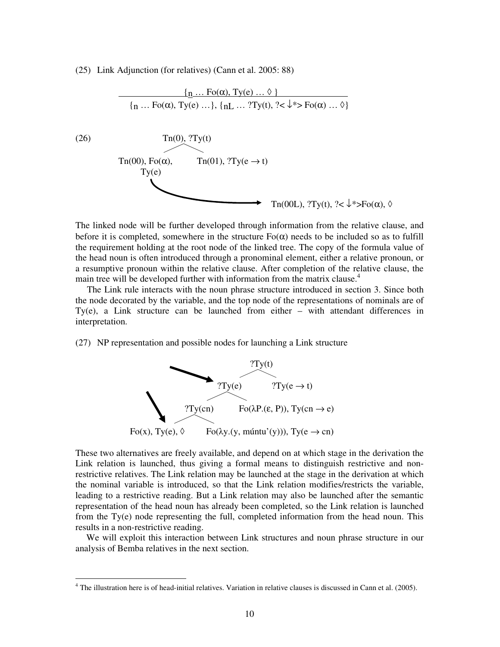(25) Link Adjunction (for relatives) (Cann et al. 2005: 88)



The linked node will be further developed through information from the relative clause, and before it is completed, somewhere in the structure  $F<sub>o</sub>(\alpha)$  needs to be included so as to fulfill the requirement holding at the root node of the linked tree. The copy of the formula value of the head noun is often introduced through a pronominal element, either a relative pronoun, or a resumptive pronoun within the relative clause. After completion of the relative clause, the main tree will be developed further with information from the matrix clause.<sup>4</sup>

 The Link rule interacts with the noun phrase structure introduced in section 3. Since both the node decorated by the variable, and the top node of the representations of nominals are of Ty(e), a Link structure can be launched from either – with attendant differences in interpretation.

(27) NP representation and possible nodes for launching a Link structure



These two alternatives are freely available, and depend on at which stage in the derivation the Link relation is launched, thus giving a formal means to distinguish restrictive and nonrestrictive relatives. The Link relation may be launched at the stage in the derivation at which the nominal variable is introduced, so that the Link relation modifies/restricts the variable, leading to a restrictive reading. But a Link relation may also be launched after the semantic representation of the head noun has already been completed, so the Link relation is launched from the Ty(e) node representing the full, completed information from the head noun. This results in a non-restrictive reading.

 We will exploit this interaction between Link structures and noun phrase structure in our analysis of Bemba relatives in the next section.

-

<sup>&</sup>lt;sup>4</sup> The illustration here is of head-initial relatives. Variation in relative clauses is discussed in Cann et al. (2005).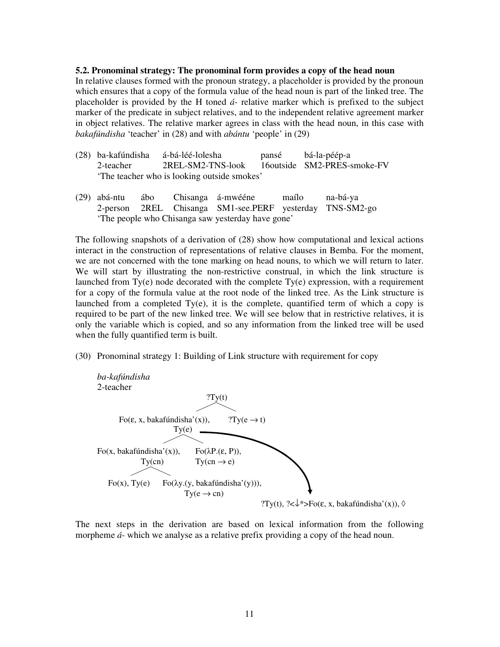### **5.2. Pronominal strategy: The pronominal form provides a copy of the head noun**

In relative clauses formed with the pronoun strategy, a placeholder is provided by the pronoun which ensures that a copy of the formula value of the head noun is part of the linked tree. The placeholder is provided by the H toned *á-* relative marker which is prefixed to the subject marker of the predicate in subject relatives, and to the independent relative agreement marker in object relatives. The relative marker agrees in class with the head noun, in this case with *bakafúndisha* 'teacher' in (28) and with *abántu* 'people' in (29)

- (28) ba-kafúndisha á-bá-léé-lolesha pansé bá-la-péép-a 2-teacher 2REL-SM2-TNS-look 16outside SM2-PRES-smoke-FV 'The teacher who is looking outside smokes'
- (29) abá-ntu ábo Chisanga á-mwééne maílo na-bá-ya 2-person 2REL Chisanga SM1-see.PERF yesterday TNS-SM2-go 'The people who Chisanga saw yesterday have gone'

The following snapshots of a derivation of (28) show how computational and lexical actions interact in the construction of representations of relative clauses in Bemba. For the moment, we are not concerned with the tone marking on head nouns, to which we will return to later. We will start by illustrating the non-restrictive construal, in which the link structure is launched from Ty(e) node decorated with the complete Ty(e) expression, with a requirement for a copy of the formula value at the root node of the linked tree. As the Link structure is launched from a completed  $Ty(e)$ , it is the complete, quantified term of which a copy is required to be part of the new linked tree. We will see below that in restrictive relatives, it is only the variable which is copied, and so any information from the linked tree will be used when the fully quantified term is built.

(30) Pronominal strategy 1: Building of Link structure with requirement for copy



The next steps in the derivation are based on lexical information from the following morpheme *á-* which we analyse as a relative prefix providing a copy of the head noun.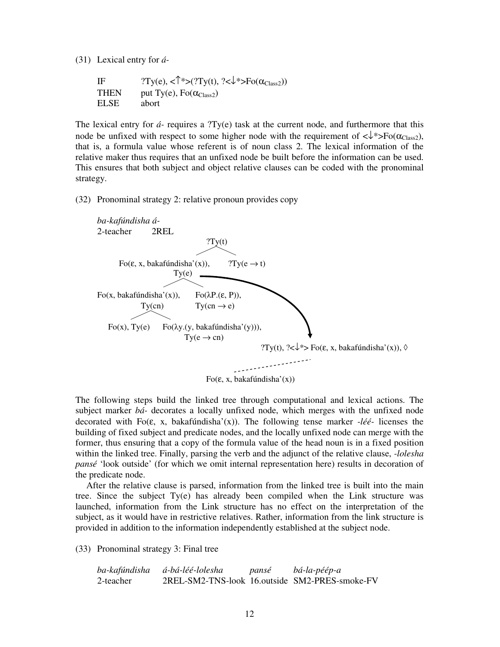(31) Lexical entry for *á-*

IF  $?Ty(e),  $\langle \uparrow^*>(?Ty(t), ?<\downarrow^*>Fo(\alpha_{\text{Class}})) \rangle$$ THEN put Ty(e),  $Fo(\alpha_{\text{Class2}})$ ELSE abort

The lexical entry for  $\acute{a}$ - requires a ?Ty(e) task at the current node, and furthermore that this node be unfixed with respect to some higher node with the requirement of  $\langle\downarrow^*\rangle F_0(\alpha_{\text{Class}}),$ that is, a formula value whose referent is of noun class 2. The lexical information of the relative maker thus requires that an unfixed node be built before the information can be used. This ensures that both subject and object relative clauses can be coded with the pronominal strategy.

(32) Pronominal strategy 2: relative pronoun provides copy



The following steps build the linked tree through computational and lexical actions. The subject marker *bá-* decorates a locally unfixed node, which merges with the unfixed node decorated with Fo(ε, x, bakafúndisha'(x)). The following tense marker *-léé-* licenses the building of fixed subject and predicate nodes, and the locally unfixed node can merge with the former, thus ensuring that a copy of the formula value of the head noun is in a fixed position within the linked tree. Finally, parsing the verb and the adjunct of the relative clause, *-lolesha pansé* 'look outside' (for which we omit internal representation here) results in decoration of the predicate node.

After the relative clause is parsed, information from the linked tree is built into the main tree. Since the subject Ty(e) has already been compiled when the Link structure was launched, information from the Link structure has no effect on the interpretation of the subject, as it would have in restrictive relatives. Rather, information from the link structure is provided in addition to the information independently established at the subject node.

(33) Pronominal strategy 3: Final tree

| ba-kafúndisha | á-bá-léé-lolesha | pansé | bá-la-péép-a                                   |
|---------------|------------------|-------|------------------------------------------------|
| 2-teacher     |                  |       | 2REL-SM2-TNS-look 16.outside SM2-PRES-smoke-FV |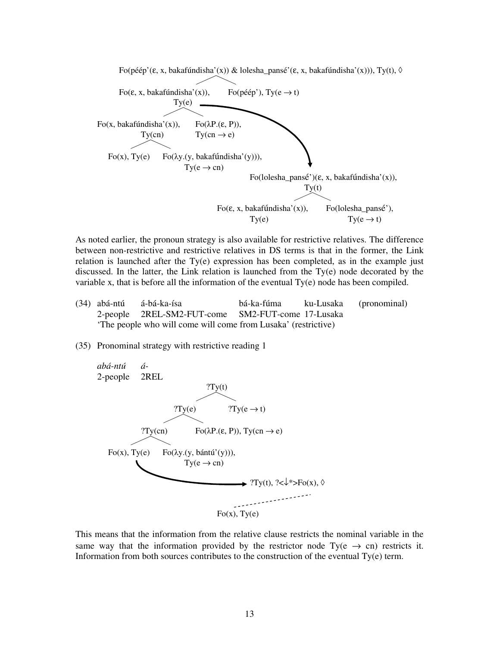

As noted earlier, the pronoun strategy is also available for restrictive relatives. The difference between non-restrictive and restrictive relatives in DS terms is that in the former, the Link relation is launched after the Ty(e) expression has been completed, as in the example just discussed. In the latter, the Link relation is launched from the Ty(e) node decorated by the variable x, that is before all the information of the eventual Ty(e) node has been compiled.

- (34) abá-ntú á-bá-ka-ísa bá-ka-fúma ku-Lusaka (pronominal) 2-people 2REL-SM2-FUT-come SM2-FUT-come 17-Lusaka 'The people who will come will come from Lusaka' (restrictive)
- (35) Pronominal strategy with restrictive reading 1



This means that the information from the relative clause restricts the nominal variable in the same way that the information provided by the restrictor node Ty( $e \rightarrow cn$ ) restricts it. Information from both sources contributes to the construction of the eventual Ty(e) term.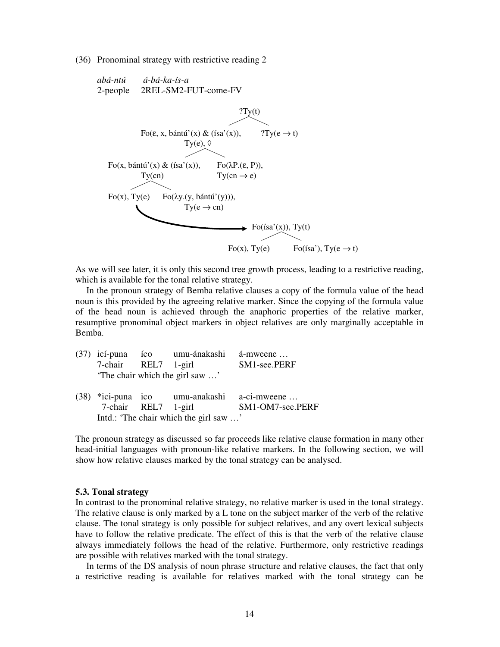(36) Pronominal strategy with restrictive reading 2

*abá-ntú á-bá-ka-ís-a* 2-people 2REL-SM2-FUT-come-FV



As we will see later, it is only this second tree growth process, leading to a restrictive reading, which is available for the tonal relative strategy.

In the pronoun strategy of Bemba relative clauses a copy of the formula value of the head noun is this provided by the agreeing relative marker. Since the copying of the formula value of the head noun is achieved through the anaphoric properties of the relative marker, resumptive pronominal object markers in object relatives are only marginally acceptable in Bemba.

|                                        | (37) icí-puna íco umu-ánakashi á-mweene     |                  |
|----------------------------------------|---------------------------------------------|------------------|
| 7-chair REL7 1-girl                    |                                             | SM1-see.PERF     |
|                                        | 'The chair which the girl saw '             |                  |
|                                        | (38) *ici-puna ico umu-anakashi a-ci-mweene |                  |
| 7-chair REL7 1-girl                    |                                             | SM1-OM7-see.PERF |
| Intd.: 'The chair which the girl saw ' |                                             |                  |

The pronoun strategy as discussed so far proceeds like relative clause formation in many other head-initial languages with pronoun-like relative markers. In the following section, we will show how relative clauses marked by the tonal strategy can be analysed.

#### **5.3. Tonal strategy**

In contrast to the pronominal relative strategy, no relative marker is used in the tonal strategy. The relative clause is only marked by a L tone on the subject marker of the verb of the relative clause. The tonal strategy is only possible for subject relatives, and any overt lexical subjects have to follow the relative predicate. The effect of this is that the verb of the relative clause always immediately follows the head of the relative. Furthermore, only restrictive readings are possible with relatives marked with the tonal strategy.

 In terms of the DS analysis of noun phrase structure and relative clauses, the fact that only a restrictive reading is available for relatives marked with the tonal strategy can be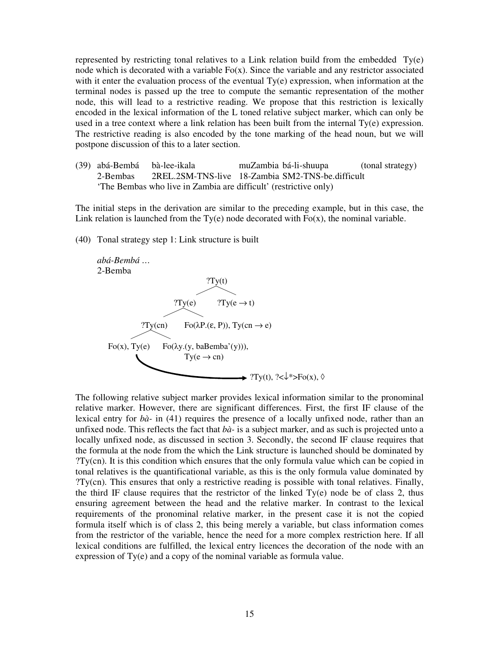represented by restricting tonal relatives to a Link relation build from the embedded Ty(e) node which is decorated with a variable Fo(x). Since the variable and any restrictor associated with it enter the evaluation process of the eventual Ty(e) expression, when information at the terminal nodes is passed up the tree to compute the semantic representation of the mother node, this will lead to a restrictive reading. We propose that this restriction is lexically encoded in the lexical information of the L toned relative subject marker, which can only be used in a tree context where a link relation has been built from the internal Ty(e) expression. The restrictive reading is also encoded by the tone marking of the head noun, but we will postpone discussion of this to a later section.

(39) abá-Bembá bà-lee-ikala muZambia bá-li-shuupa (tonal strategy) 2-Bembas 2REL.2SM-TNS-live 18-Zambia SM2-TNS-be.difficult 'The Bembas who live in Zambia are difficult' (restrictive only)

The initial steps in the derivation are similar to the preceding example, but in this case, the Link relation is launched from the Ty(e) node decorated with  $F(x)$ , the nominal variable.

(40) Tonal strategy step 1: Link structure is built



The following relative subject marker provides lexical information similar to the pronominal relative marker. However, there are significant differences. First, the first IF clause of the lexical entry for *bà-* in (41) requires the presence of a locally unfixed node, rather than an unfixed node. This reflects the fact that *bà-* is a subject marker, and as such is projected unto a locally unfixed node, as discussed in section 3. Secondly, the second IF clause requires that the formula at the node from the which the Link structure is launched should be dominated by ?Ty(cn). It is this condition which ensures that the only formula value which can be copied in tonal relatives is the quantificational variable, as this is the only formula value dominated by ?Ty(cn). This ensures that only a restrictive reading is possible with tonal relatives. Finally, the third IF clause requires that the restrictor of the linked Ty(e) node be of class 2, thus ensuring agreement between the head and the relative marker. In contrast to the lexical requirements of the pronominal relative marker, in the present case it is not the copied formula itself which is of class 2, this being merely a variable, but class information comes from the restrictor of the variable, hence the need for a more complex restriction here. If all lexical conditions are fulfilled, the lexical entry licences the decoration of the node with an expression of Ty(e) and a copy of the nominal variable as formula value.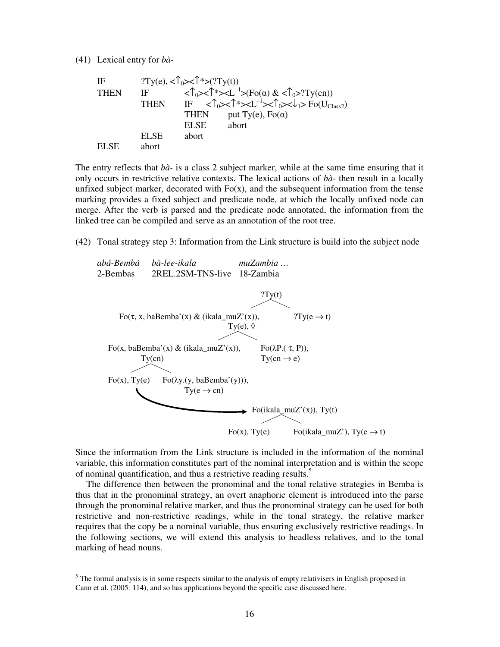(41) Lexical entry for *bà-*

-

| ΙF    |             | $?Ty(e), \langle \uparrow_0 > < \uparrow \uparrow > (?Ty(t))$ |                                                                                                                                                                                                                             |
|-------|-------------|---------------------------------------------------------------|-----------------------------------------------------------------------------------------------------------------------------------------------------------------------------------------------------------------------------|
| THEN  | ΙF          |                                                               | $\langle \uparrow_0 > \uparrow^* > L^{-1} > (F_0(\alpha) \& \langle \uparrow_0 > ?Ty(\text{cn})) \rangle$                                                                                                                   |
|       | <b>THEN</b> |                                                               | IF $\langle \hat{\mathcal{L}}_{0} \rangle \langle \hat{\mathcal{L}}^{*} \rangle \langle \hat{\mathcal{L}}^{-1} \rangle \langle \hat{\mathcal{L}}_{0} \rangle \langle \hat{\mathcal{L}}_{1} \rangle$ Fo(U <sub>Class</sub> ) |
|       |             | <b>THEN</b>                                                   | put Ty(e), $Fo(\alpha)$                                                                                                                                                                                                     |
|       |             | EL SE                                                         | abort                                                                                                                                                                                                                       |
|       | EL SE       | abort                                                         |                                                                                                                                                                                                                             |
| FI SE | abort       |                                                               |                                                                                                                                                                                                                             |

The entry reflects that *bà-* is a class 2 subject marker, while at the same time ensuring that it only occurs in restrictive relative contexts. The lexical actions of *bà-* then result in a locally unfixed subject marker, decorated with  $Fo(x)$ , and the subsequent information from the tense marking provides a fixed subject and predicate node, at which the locally unfixed node can merge. After the verb is parsed and the predicate node annotated, the information from the linked tree can be compiled and serve as an annotation of the root tree.

(42) Tonal strategy step 3: Information from the Link structure is build into the subject node



Since the information from the Link structure is included in the information of the nominal variable, this information constitutes part of the nominal interpretation and is within the scope of nominal quantification, and thus a restrictive reading results.<sup>5</sup>

 The difference then between the pronominal and the tonal relative strategies in Bemba is thus that in the pronominal strategy, an overt anaphoric element is introduced into the parse through the pronominal relative marker, and thus the pronominal strategy can be used for both restrictive and non-restrictive readings, while in the tonal strategy, the relative marker requires that the copy be a nominal variable, thus ensuring exclusively restrictive readings. In the following sections, we will extend this analysis to headless relatives, and to the tonal marking of head nouns.

 $<sup>5</sup>$  The formal analysis is in some respects similar to the analysis of empty relativisers in English proposed in</sup> Cann et al. (2005: 114), and so has applications beyond the specific case discussed here.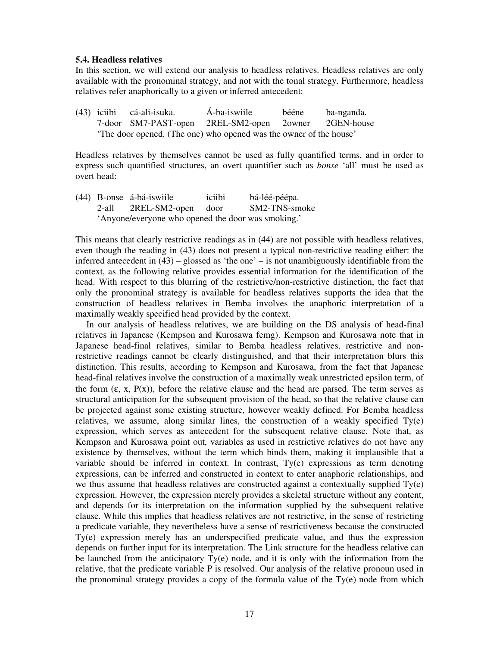### **5.4. Headless relatives**

In this section, we will extend our analysis to headless relatives. Headless relatives are only available with the pronominal strategy, and not with the tonal strategy. Furthermore, headless relatives refer anaphorically to a given or inferred antecedent:

(43) iciibi cá-ali-isuka. Á-ba-iswiile bééne ba-nganda. 7-door SM7-PAST-open 2REL-SM2-open 2owner 2GEN-house 'The door opened. (The one) who opened was the owner of the house'

Headless relatives by themselves cannot be used as fully quantified terms, and in order to express such quantified structures, an overt quantifier such as *bonse* 'all' must be used as overt head:

(44) B-onse á-bá-iswiile iciibi bá-léé-péépa. 2-all 2REL-SM2-open door SM2-TNS-smoke 'Anyone/everyone who opened the door was smoking.'

This means that clearly restrictive readings as in (44) are not possible with headless relatives, even though the reading in (43) does not present a typical non-restrictive reading either: the inferred antecedent in (43) – glossed as 'the one' – is not unambiguously identifiable from the context, as the following relative provides essential information for the identification of the head. With respect to this blurring of the restrictive/non-restrictive distinction, the fact that only the pronominal strategy is available for headless relatives supports the idea that the construction of headless relatives in Bemba involves the anaphoric interpretation of a maximally weakly specified head provided by the context.

 In our analysis of headless relatives, we are building on the DS analysis of head-final relatives in Japanese (Kempson and Kurosawa fcmg). Kempson and Kurosawa note that in Japanese head-final relatives, similar to Bemba headless relatives, restrictive and nonrestrictive readings cannot be clearly distinguished, and that their interpretation blurs this distinction. This results, according to Kempson and Kurosawa, from the fact that Japanese head-final relatives involve the construction of a maximally weak unrestricted epsilon term, of the form  $(\epsilon, x, P(x))$ , before the relative clause and the head are parsed. The term serves as structural anticipation for the subsequent provision of the head, so that the relative clause can be projected against some existing structure, however weakly defined. For Bemba headless relatives, we assume, along similar lines, the construction of a weakly specified Ty(e) expression, which serves as antecedent for the subsequent relative clause. Note that, as Kempson and Kurosawa point out, variables as used in restrictive relatives do not have any existence by themselves, without the term which binds them, making it implausible that a variable should be inferred in context. In contrast,  $Ty(e)$  expressions as term denoting expressions, can be inferred and constructed in context to enter anaphoric relationships, and we thus assume that headless relatives are constructed against a contextually supplied  $Ty(e)$ expression. However, the expression merely provides a skeletal structure without any content, and depends for its interpretation on the information supplied by the subsequent relative clause. While this implies that headless relatives are not restrictive, in the sense of restricting a predicate variable, they nevertheless have a sense of restrictiveness because the constructed Ty(e) expression merely has an underspecified predicate value, and thus the expression depends on further input for its interpretation. The Link structure for the headless relative can be launched from the anticipatory  $Ty(e)$  node, and it is only with the information from the relative, that the predicate variable P is resolved. Our analysis of the relative pronoun used in the pronominal strategy provides a copy of the formula value of the Ty(e) node from which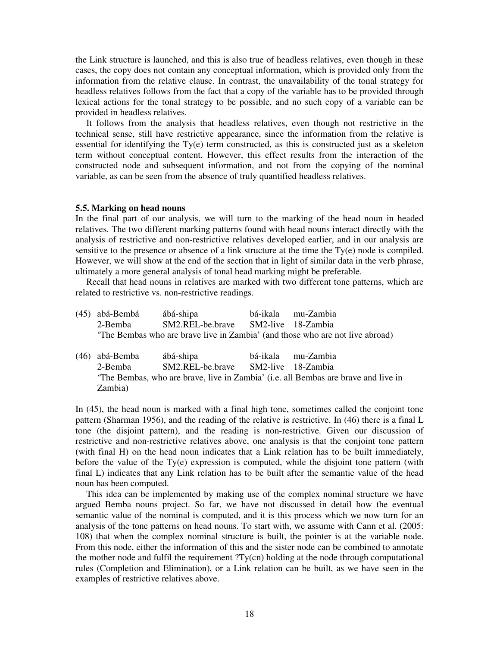the Link structure is launched, and this is also true of headless relatives, even though in these cases, the copy does not contain any conceptual information, which is provided only from the information from the relative clause. In contrast, the unavailability of the tonal strategy for headless relatives follows from the fact that a copy of the variable has to be provided through lexical actions for the tonal strategy to be possible, and no such copy of a variable can be provided in headless relatives.

 It follows from the analysis that headless relatives, even though not restrictive in the technical sense, still have restrictive appearance, since the information from the relative is essential for identifying the  $T_y(e)$  term constructed, as this is constructed just as a skeleton term without conceptual content. However, this effect results from the interaction of the constructed node and subsequent information, and not from the copying of the nominal variable, as can be seen from the absence of truly quantified headless relatives.

#### **5.5. Marking on head nouns**

In the final part of our analysis, we will turn to the marking of the head noun in headed relatives. The two different marking patterns found with head nouns interact directly with the analysis of restrictive and non-restrictive relatives developed earlier, and in our analysis are sensitive to the presence or absence of a link structure at the time the Ty(e) node is compiled. However, we will show at the end of the section that in light of similar data in the verb phrase, ultimately a more general analysis of tonal head marking might be preferable.

 Recall that head nouns in relatives are marked with two different tone patterns, which are related to restrictive vs. non-restrictive readings.

- (45) abá-Bembá ábá-shipa bá-ikala mu-Zambia 2-Bemba SM2.REL-be.brave SM2-live 18-Zambia 'The Bembas who are brave live in Zambia' (and those who are not live abroad)
- (46) abá-Bemba ábá-shipa bá-ikala mu-Zambia 2-Bemba SM2.REL-be.brave SM2-live 18-Zambia 'The Bembas, who are brave, live in Zambia' (i.e. all Bembas are brave and live in Zambia)

In (45), the head noun is marked with a final high tone, sometimes called the conjoint tone pattern (Sharman 1956), and the reading of the relative is restrictive. In (46) there is a final L tone (the disjoint pattern), and the reading is non-restrictive. Given our discussion of restrictive and non-restrictive relatives above, one analysis is that the conjoint tone pattern (with final H) on the head noun indicates that a Link relation has to be built immediately, before the value of the  $Ty(e)$  expression is computed, while the disjoint tone pattern (with final L) indicates that any Link relation has to be built after the semantic value of the head noun has been computed.

 This idea can be implemented by making use of the complex nominal structure we have argued Bemba nouns project. So far, we have not discussed in detail how the eventual semantic value of the nominal is computed, and it is this process which we now turn for an analysis of the tone patterns on head nouns. To start with, we assume with Cann et al. (2005: 108) that when the complex nominal structure is built, the pointer is at the variable node. From this node, either the information of this and the sister node can be combined to annotate the mother node and fulfil the requirement ?Ty(cn) holding at the node through computational rules (Completion and Elimination), or a Link relation can be built, as we have seen in the examples of restrictive relatives above.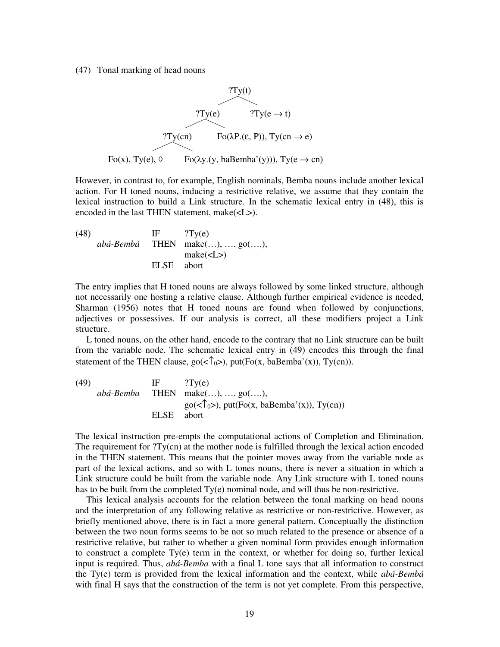(47) Tonal marking of head nouns



However, in contrast to, for example, English nominals, Bemba nouns include another lexical action. For H toned nouns, inducing a restrictive relative, we assume that they contain the lexical instruction to build a Link structure. In the schematic lexical entry in (48), this is encoded in the last THEN statement, make(<L>).

 $(\text{48})$  IF ?Ty(e) *abá-Bembá* THEN make(…), …. go(….), make(<L>) ELSE abort

The entry implies that H toned nouns are always followed by some linked structure, although not necessarily one hosting a relative clause. Although further empirical evidence is needed, Sharman (1956) notes that H toned nouns are found when followed by conjunctions, adjectives or possessives. If our analysis is correct, all these modifiers project a Link structure.

 L toned nouns, on the other hand, encode to the contrary that no Link structure can be built from the variable node. The schematic lexical entry in (49) encodes this through the final statement of the THEN clause,  $\text{go}(\langle \hat{\mathcal{T}}_0 \rangle)$ ,  $\text{put}(\text{Fo}(x, \text{baBemba}(x)), \text{Ty}(cn))$ .

(49) IF 
$$
?Ty(e)
$$
  
\n $ab\acute{a}\text{-}Bemba$  THEN make(...), ..., go(...),  
\n $go(<\uparrow_0>$ ), put(Fo(x, baBemba'(x)), Ty(cn))  
\nELSE abort

The lexical instruction pre-empts the computational actions of Completion and Elimination. The requirement for ?Ty(cn) at the mother node is fulfilled through the lexical action encoded in the THEN statement. This means that the pointer moves away from the variable node as part of the lexical actions, and so with L tones nouns, there is never a situation in which a Link structure could be built from the variable node. Any Link structure with L toned nouns has to be built from the completed Ty(e) nominal node, and will thus be non-restrictive.

 This lexical analysis accounts for the relation between the tonal marking on head nouns and the interpretation of any following relative as restrictive or non-restrictive. However, as briefly mentioned above, there is in fact a more general pattern. Conceptually the distinction between the two noun forms seems to be not so much related to the presence or absence of a restrictive relative, but rather to whether a given nominal form provides enough information to construct a complete Ty(e) term in the context, or whether for doing so, further lexical input is required. Thus, *abá-Bemba* with a final L tone says that all information to construct the Ty(e) term is provided from the lexical information and the context, while *abá-Bembá*  with final H says that the construction of the term is not yet complete. From this perspective,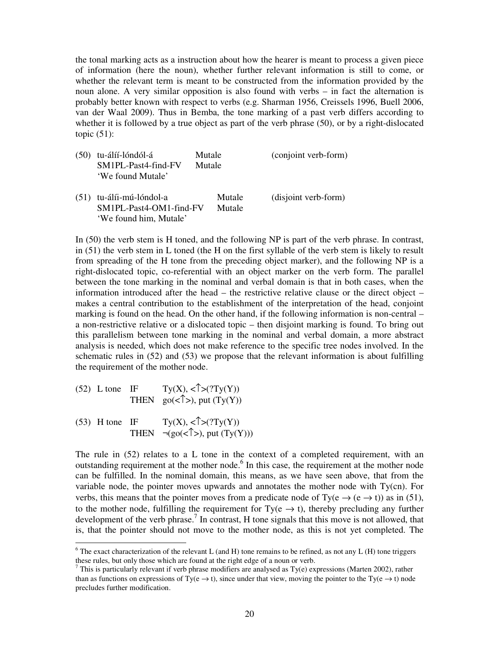the tonal marking acts as a instruction about how the hearer is meant to process a given piece of information (here the noun), whether further relevant information is still to come, or whether the relevant term is meant to be constructed from the information provided by the noun alone. A very similar opposition is also found with verbs – in fact the alternation is probably better known with respect to verbs (e.g. Sharman 1956, Creissels 1996, Buell 2006, van der Waal 2009). Thus in Bemba, the tone marking of a past verb differs according to whether it is followed by a true object as part of the verb phrase (50), or by a right-dislocated topic  $(51)$ :

| (50) | tu-álíí-lóndól-á<br>SM1PL-Past4-find-FV<br>'We found Mutale'             | Mutale<br>Mutale | (conjoint verb-form) |
|------|--------------------------------------------------------------------------|------------------|----------------------|
| (51) | tu-álíi-mú-lóndol-a<br>SM1PL-Past4-OM1-find-FV<br>'We found him, Mutale' | Mutale<br>Mutale | (disjoint verb-form) |

In (50) the verb stem is H toned, and the following NP is part of the verb phrase. In contrast, in (51) the verb stem in L toned (the H on the first syllable of the verb stem is likely to result from spreading of the H tone from the preceding object marker), and the following NP is a right-dislocated topic, co-referential with an object marker on the verb form. The parallel between the tone marking in the nominal and verbal domain is that in both cases, when the information introduced after the head – the restrictive relative clause or the direct object – makes a central contribution to the establishment of the interpretation of the head, conjoint marking is found on the head. On the other hand, if the following information is non-central – a non-restrictive relative or a dislocated topic – then disjoint marking is found. To bring out this parallelism between tone marking in the nominal and verbal domain, a more abstract analysis is needed, which does not make reference to the specific tree nodes involved. In the schematic rules in (52) and (53) we propose that the relevant information is about fulfilling the requirement of the mother node.

- (52) L tone IF  $Ty(X), \langle \uparrow \rangle (?Ty(Y))$ THEN  $\text{go}(\text{<}\uparrow)$ , put  $(\text{Ty}(Y))$
- (53) H tone IF Ty(X),  $\langle \uparrow \rangle$  (?Ty(Y)) THEN  $\neg(go( $\uparrow$ )$ , put  $(Ty(Y)))$

-

The rule in (52) relates to a L tone in the context of a completed requirement, with an outstanding requirement at the mother node. $6$  In this case, the requirement at the mother node can be fulfilled. In the nominal domain, this means, as we have seen above, that from the variable node, the pointer moves upwards and annotates the mother node with Ty(cn). For verbs, this means that the pointer moves from a predicate node of Ty( $e \rightarrow (e \rightarrow t)$ ) as in (51), to the mother node, fulfilling the requirement for  $Ty(e \rightarrow t)$ , thereby precluding any further development of the verb phrase.<sup>7</sup> In contrast, H tone signals that this move is not allowed, that is, that the pointer should not move to the mother node, as this is not yet completed. The

<sup>&</sup>lt;sup>6</sup> The exact characterization of the relevant L (and H) tone remains to be refined, as not any L (H) tone triggers these rules, but only those which are found at the right edge of a noun or verb.

<sup>&</sup>lt;sup>7</sup> This is particularly relevant if verb phrase modifiers are analysed as Ty(e) expressions (Marten 2002), rather than as functions on expressions of Ty(e  $\rightarrow$  t), since under that view, moving the pointer to the Ty(e  $\rightarrow$  t) node precludes further modification.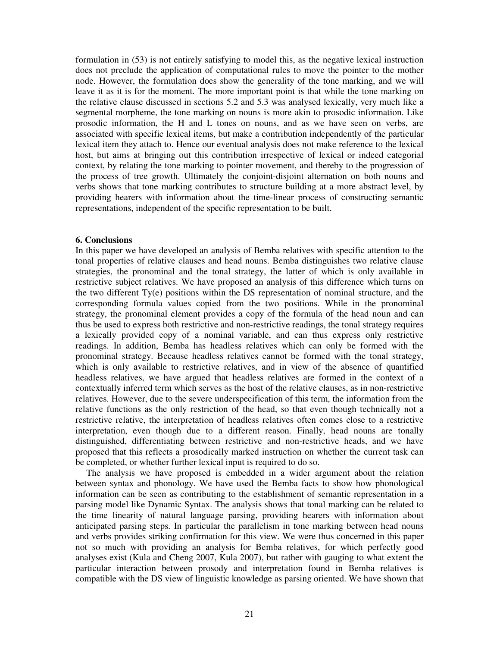formulation in (53) is not entirely satisfying to model this, as the negative lexical instruction does not preclude the application of computational rules to move the pointer to the mother node. However, the formulation does show the generality of the tone marking, and we will leave it as it is for the moment. The more important point is that while the tone marking on the relative clause discussed in sections 5.2 and 5.3 was analysed lexically, very much like a segmental morpheme, the tone marking on nouns is more akin to prosodic information. Like prosodic information, the H and L tones on nouns, and as we have seen on verbs, are associated with specific lexical items, but make a contribution independently of the particular lexical item they attach to. Hence our eventual analysis does not make reference to the lexical host, but aims at bringing out this contribution irrespective of lexical or indeed categorial context, by relating the tone marking to pointer movement, and thereby to the progression of the process of tree growth. Ultimately the conjoint-disjoint alternation on both nouns and verbs shows that tone marking contributes to structure building at a more abstract level, by providing hearers with information about the time-linear process of constructing semantic representations, independent of the specific representation to be built.

# **6. Conclusions**

In this paper we have developed an analysis of Bemba relatives with specific attention to the tonal properties of relative clauses and head nouns. Bemba distinguishes two relative clause strategies, the pronominal and the tonal strategy, the latter of which is only available in restrictive subject relatives. We have proposed an analysis of this difference which turns on the two different Ty(e) positions within the DS representation of nominal structure, and the corresponding formula values copied from the two positions. While in the pronominal strategy, the pronominal element provides a copy of the formula of the head noun and can thus be used to express both restrictive and non-restrictive readings, the tonal strategy requires a lexically provided copy of a nominal variable, and can thus express only restrictive readings. In addition, Bemba has headless relatives which can only be formed with the pronominal strategy. Because headless relatives cannot be formed with the tonal strategy, which is only available to restrictive relatives, and in view of the absence of quantified headless relatives, we have argued that headless relatives are formed in the context of a contextually inferred term which serves as the host of the relative clauses, as in non-restrictive relatives. However, due to the severe underspecification of this term, the information from the relative functions as the only restriction of the head, so that even though technically not a restrictive relative, the interpretation of headless relatives often comes close to a restrictive interpretation, even though due to a different reason. Finally, head nouns are tonally distinguished, differentiating between restrictive and non-restrictive heads, and we have proposed that this reflects a prosodically marked instruction on whether the current task can be completed, or whether further lexical input is required to do so.

 The analysis we have proposed is embedded in a wider argument about the relation between syntax and phonology. We have used the Bemba facts to show how phonological information can be seen as contributing to the establishment of semantic representation in a parsing model like Dynamic Syntax. The analysis shows that tonal marking can be related to the time linearity of natural language parsing, providing hearers with information about anticipated parsing steps. In particular the parallelism in tone marking between head nouns and verbs provides striking confirmation for this view. We were thus concerned in this paper not so much with providing an analysis for Bemba relatives, for which perfectly good analyses exist (Kula and Cheng 2007, Kula 2007), but rather with gauging to what extent the particular interaction between prosody and interpretation found in Bemba relatives is compatible with the DS view of linguistic knowledge as parsing oriented. We have shown that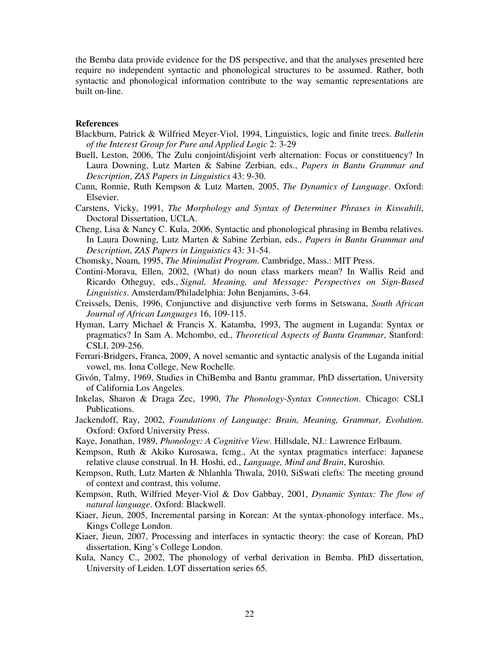the Bemba data provide evidence for the DS perspective, and that the analyses presented here require no independent syntactic and phonological structures to be assumed. Rather, both syntactic and phonological information contribute to the way semantic representations are built on-line.

# **References**

- Blackburn, Patrick & Wilfried Meyer-Viol, 1994, Linguistics, logic and finite trees. *Bulletin of the Interest Group for Pure and Applied Logic* 2: 3-29
- Buell, Leston, 2006, The Zulu conjoint/disjoint verb alternation: Focus or constituency? In Laura Downing, Lutz Marten & Sabine Zerbian, eds., *Papers in Bantu Grammar and Description*, *ZAS Papers in Linguistics* 43: 9-30.
- Cann, Ronnie, Ruth Kempson & Lutz Marten, 2005, *The Dynamics of Language*. Oxford: Elsevier.
- Carstens, Vicky, 1991, *The Morphology and Syntax of Determiner Phrases in Kiswahili*, Doctoral Dissertation, UCLA.
- Cheng, Lisa & Nancy C. Kula, 2006, Syntactic and phonological phrasing in Bemba relatives. In Laura Downing, Lutz Marten & Sabine Zerbian, eds., *Papers in Bantu Grammar and Description*, *ZAS Papers in Linguistics* 43: 31-54.
- Chomsky, Noam, 1995, *The Minimalist Program*. Cambridge, Mass.: MIT Press.
- Contini-Morava, Ellen, 2002, (What) do noun class markers mean? In Wallis Reid and Ricardo Otheguy, eds., *Signal, Meaning, and Message: Perspectives on Sign-Based Linguistics*. Amsterdam/Philadelphia: John Benjamins, 3-64.
- Creissels, Denis, 1996, Conjunctive and disjunctive verb forms in Setswana, *South African Journal of African Languages* 16, 109-115.
- Hyman, Larry Michael & Francis X. Katamba, 1993, The augment in Luganda: Syntax or pragmatics? In Sam A. Mchombo, ed., *Theoretical Aspects of Bantu Grammar*, Stanford: CSLI, 209-256.
- Ferrari-Bridgers, Franca, 2009, A novel semantic and syntactic analysis of the Luganda initial vowel, ms. Iona College, New Rochelle.
- Givón, Talmy, 1969, Studies in ChiBemba and Bantu grammar, PhD dissertation, University of California Los Angeles.
- Inkelas, Sharon & Draga Zec, 1990, *The Phonology-Syntax Connection*. Chicago: CSLI Publications.
- Jackendoff, Ray, 2002, *Foundations of Language: Brain, Meaning, Grammar, Evolution*. Oxford: Oxford University Press.
- Kaye, Jonathan, 1989, *Phonology: A Cognitive View*. Hillsdale, NJ.: Lawrence Erlbaum.
- Kempson, Ruth & Akiko Kurosawa, fcmg., At the syntax pragmatics interface: Japanese relative clause construal. In H. Hoshi, ed., *Language, Mind and Brain*, Kuroshio.
- Kempson, Ruth, Lutz Marten & Nhlanhla Thwala, 2010, SiSwati clefts: The meeting ground of context and contrast, this volume.
- Kempson, Ruth, Wilfried Meyer-Viol & Dov Gabbay, 2001, *Dynamic Syntax: The flow of natural language*. Oxford: Blackwell.
- Kiaer, Jieun, 2005, Incremental parsing in Korean: At the syntax-phonology interface. Ms., Kings College London.
- Kiaer, Jieun, 2007, Processing and interfaces in syntactic theory: the case of Korean, PhD dissertation, King's College London.
- Kula, Nancy C., 2002, The phonology of verbal derivation in Bemba. PhD dissertation, University of Leiden. LOT dissertation series 65.